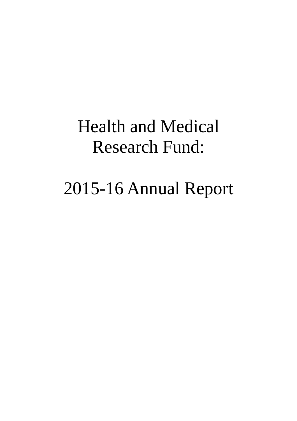# Health and Medical Research Fund:

# 2015-16 Annual Report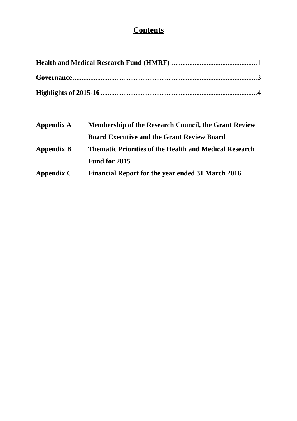# **Contents**

| <b>Membership of the Research Council, the Grant Review</b>   |  |
|---------------------------------------------------------------|--|
| <b>Board Executive and the Grant Review Board</b>             |  |
| <b>Thematic Priorities of the Health and Medical Research</b> |  |
|                                                               |  |
| <b>Financial Report for the year ended 31 March 2016</b>      |  |
|                                                               |  |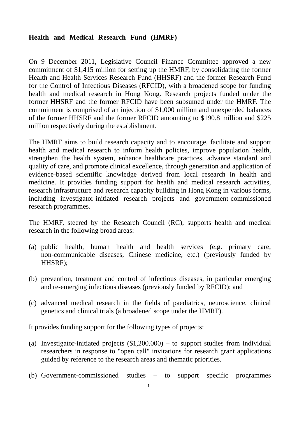# **Health and Medical Research Fund (HMRF)**

On 9 December 2011, Legislative Council Finance Committee approved a new commitment of \$1,415 million for setting up the HMRF, by consolidating the former Health and Health Services Research Fund (HHSRF) and the former Research Fund for the Control of Infectious Diseases (RFCID), with a broadened scope for funding health and medical research in Hong Kong. Research projects funded under the former HHSRF and the former RFCID have been subsumed under the HMRF. The commitment is comprised of an injection of \$1,000 million and unexpended balances of the former HHSRF and the former RFCID amounting to \$190.8 million and \$225 million respectively during the establishment.

The HMRF aims to build research capacity and to encourage, facilitate and support health and medical research to inform health policies, improve population health, strengthen the health system, enhance healthcare practices, advance standard and quality of care, and promote clinical excellence, through generation and application of evidence-based scientific knowledge derived from local research in health and medicine. It provides funding support for health and medical research activities, research infrastructure and research capacity building in Hong Kong in various forms, including investigator-initiated research projects and government-commissioned research programmes.

The HMRF, steered by the Research Council (RC), supports health and medical research in the following broad areas:

- (a) public health, human health and health services (e.g. primary care, non-communicable diseases, Chinese medicine, etc.) (previously funded by HHSRF);
- (b) prevention, treatment and control of infectious diseases, in particular emerging and re-emerging infectious diseases (previously funded by RFCID); and
- (c) advanced medical research in the fields of paediatrics, neuroscience, clinical genetics and clinical trials (a broadened scope under the HMRF).

It provides funding support for the following types of projects:

- (a) Investigator-initiated projects (\$1,200,000) to support studies from individual researchers in response to "open call" invitations for research grant applications guided by reference to the research areas and thematic priorities.
- (b) Government-commissioned studies to support specific programmes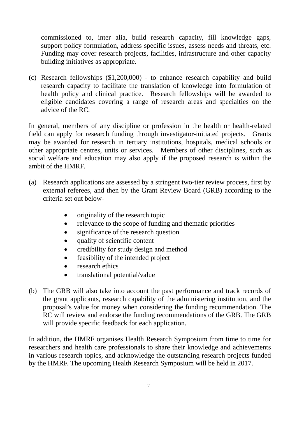support policy formulation, address specific issues, assess needs and threats, etc. commissioned to, inter alia, build research capacity, fill knowledge gaps, Funding may cover research projects, facilities, infrastructure and other capacity building initiatives as appropriate.

(c) Research fellowships (\$1,200,000) - to enhance research capability and build research capacity to facilitate the translation of knowledge into formulation of health policy and clinical practice. Research fellowships will be awarded to eligible candidates covering a range of research areas and specialties on the advice of the RC.

In general, members of any discipline or profession in the health or health-related field can apply for research funding through investigator-initiated projects. Grants may be awarded for research in tertiary institutions, hospitals, medical schools or other appropriate centres, units or services. Members of other disciplines, such as social welfare and education may also apply if the proposed research is within the ambit of the HMRF.

- (a) Research applications are assessed by a stringent two-tier review process, first by external referees, and then by the Grant Review Board (GRB) according to the criteria set out below-
	- originality of the research topic
	- relevance to the scope of funding and thematic priorities
	- significance of the research question
	- quality of scientific content
	- credibility for study design and method
	- feasibility of the intended project
	- research ethics
	- translational potential/value
- (b) The GRB will also take into account the past performance and track records of the grant applicants, research capability of the administering institution, and the proposal's value for money when considering the funding recommendation. The RC will review and endorse the funding recommendations of the GRB. The GRB will provide specific feedback for each application.

In addition, the HMRF organises Health Research Symposium from time to time for researchers and health care professionals to share their knowledge and achievements in various research topics, and acknowledge the outstanding research projects funded by the HMRF. The upcoming Health Research Symposium will be held in 2017.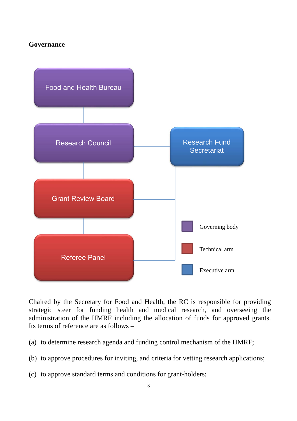## **Governance**



Chaired by the Secretary for Food and Health, the RC is responsible for providing strategic steer for funding health and medical research, and overseeing the administration of the HMRF including the allocation of funds for approved grants. Its terms of reference are as follows –

- (a) to determine research agenda and funding control mechanism of the HMRF;
- (b) to approve procedures for inviting, and criteria for vetting research applications;
- (c) to approve standard terms and conditions for grant-holders;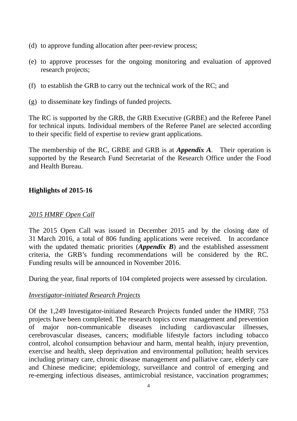- (d) to approve funding allocation after peer-review process;
- (e) to approve processes for the ongoing monitoring and evaluation of approved research projects;
- (f) to establish the GRB to carry out the technical work of the RC; and
- (g) to disseminate key findings of funded projects.

The RC is supported by the GRB, the GRB Executive (GRBE) and the Referee Panel for technical inputs. Individual members of the Referee Panel are selected according to their specific field of expertise to review grant applications.

The membership of the RC, GRBE and GRB is at *Appendix A*. Their operation is supported by the Research Fund Secretariat of the Research Office under the Food and Health Bureau.

# **Highlights of 2015-16**

# *2015 HMRF Open Call*

The 2015 Open Call was issued in December 2015 and by the closing date of 31 March 2016, a total of 806 funding applications were received. In accordance with the updated thematic priorities (*Appendix B*) and the established assessment criteria, the GRB's funding recommendations will be considered by the RC. Funding results will be announced in November 2016.

During the year, final reports of 104 completed projects were assessed by circulation.

# *Investigator-initiated Research Projects*

 re-emerging infectious diseases, antimicrobial resistance, vaccination programmes; 4 Of the 1,249 Investigator-initiated Research Projects funded under the HMRF, 753 projects have been completed. The research topics cover management and prevention of major non-communicable diseases including cardiovascular illnesses, cerebrovascular diseases, cancers; modifiable lifestyle factors including tobacco control, alcohol consumption behaviour and harm, mental health, injury prevention, exercise and health, sleep deprivation and environmental pollution; health services including primary care, chronic disease management and palliative care, elderly care and Chinese medicine; epidemiology, surveillance and control of emerging and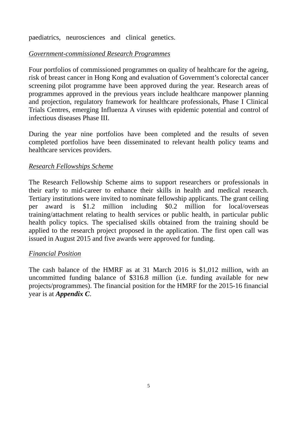paediatrics, neurosciences and clinical genetics.

# *Government-commissioned Research Programmes*

Four portfolios of commissioned programmes on quality of healthcare for the ageing, risk of breast cancer in Hong Kong and evaluation of Government's colorectal cancer screening pilot programme have been approved during the year. Research areas of programmes approved in the previous years include healthcare manpower planning and projection, regulatory framework for healthcare professionals, Phase I Clinical Trials Centres, emerging Influenza A viruses with epidemic potential and control of infectious diseases Phase III.

During the year nine portfolios have been completed and the results of seven completed portfolios have been disseminated to relevant health policy teams and healthcare services providers.

# *Research Fellowships Scheme*

The Research Fellowship Scheme aims to support researchers or professionals in their early to mid-career to enhance their skills in health and medical research. Tertiary institutions were invited to nominate fellowship applicants. The grant ceiling per award is \$1.2 million including \$0.2 million for local/overseas training/attachment relating to health services or public health, in particular public health policy topics. The specialised skills obtained from the training should be applied to the research project proposed in the application. The first open call was issued in August 2015 and five awards were approved for funding.

# *Financial Position*

The cash balance of the HMRF as at 31 March 2016 is \$1,012 million, with an uncommitted funding balance of \$316.8 million (i.e. funding available for new projects/programmes). The financial position for the HMRF for the 2015-16 financial year is at *Appendix C*.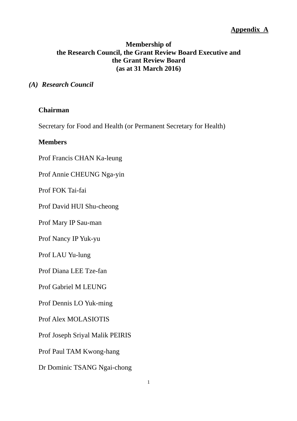# **Membership of the Research Council, the Grant Review Board Executive and the Grant Review Board (as at 31 March 2016)**

## *(A) Research Council*

## **Chairman**

Secretary for Food and Health (or Permanent Secretary for Health)

## **Members**

Prof Francis CHAN Ka-leung

Prof Annie CHEUNG Nga-yin

Prof FOK Tai-fai

Prof David HUI Shu-cheong

Prof Mary IP Sau-man

Prof Nancy IP Yuk-yu

Prof LAU Yu-lung

Prof Diana LEE Tze-fan

Prof Gabriel M LEUNG

Prof Dennis LO Yuk-ming

Prof Alex MOLASIOTIS

Prof Joseph Sriyal Malik PEIRIS

Prof Paul TAM Kwong-hang

Dr Dominic TSANG Ngai-chong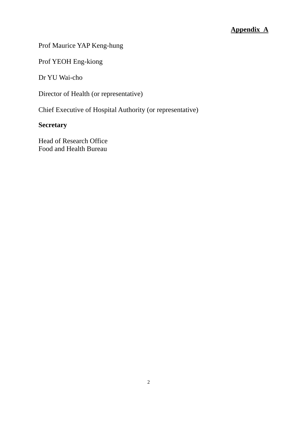# Prof Maurice YAP Keng-hung

Prof YEOH Eng-kiong

Dr YU Wai-cho

Director of Health (or representative)

Chief Executive of Hospital Authority (or representative)

# **Secretary**

Head of Research Office Food and Health Bureau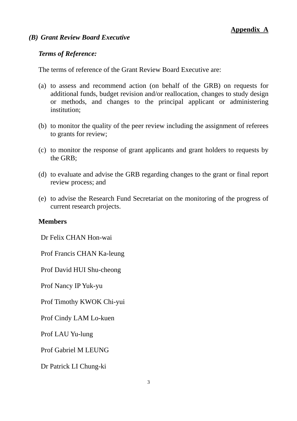## *(B) Grant Review Board Executive*

## *Terms of Reference:*

The terms of reference of the Grant Review Board Executive are:

- (a) to assess and recommend action (on behalf of the GRB) on requests for additional funds, budget revision and/or reallocation, changes to study design or methods, and changes to the principal applicant or administering institution;
- (b) to monitor the quality of the peer review including the assignment of referees to grants for review;
- (c) to monitor the response of grant applicants and grant holders to requests by the GRB;
- (d) to evaluate and advise the GRB regarding changes to the grant or final report review process; and
- (e) to advise the Research Fund Secretariat on the monitoring of the progress of current research projects.

## **Members**

Dr Felix CHAN Hon-wai

Prof Francis CHAN Ka-leung

Prof David HUI Shu-cheong

Prof Nancy IP Yuk-yu

Prof Timothy KWOK Chi-yui

Prof Cindy LAM Lo-kuen

Prof LAU Yu-lung

Prof Gabriel M LEUNG

Dr Patrick LI Chung-ki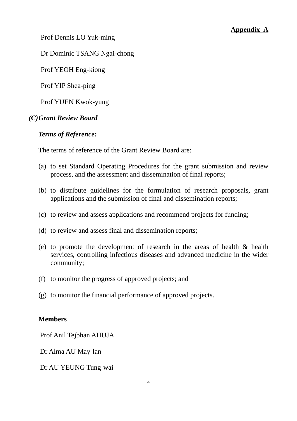Prof Dennis LO Yuk-ming

Dr Dominic TSANG Ngai-chong

Prof YEOH Eng-kiong

Prof YIP Shea-ping

Prof YUEN Kwok-yung

## *(C)Grant Review Board*

## *Terms of Reference:*

The terms of reference of the Grant Review Board are:

- (a) to set Standard Operating Procedures for the grant submission and review process, and the assessment and dissemination of final reports;
- (b) to distribute guidelines for the formulation of research proposals, grant applications and the submission of final and dissemination reports;
- (c) to review and assess applications and recommend projects for funding;
- (d) to review and assess final and dissemination reports;
- (e) to promote the development of research in the areas of health & health services, controlling infectious diseases and advanced medicine in the wider community;
- (f) to monitor the progress of approved projects; and
- (g) to monitor the financial performance of approved projects.

## **Members**

Prof Anil Tejbhan AHUJA

Dr Alma AU May-lan

Dr AU YEUNG Tung-wai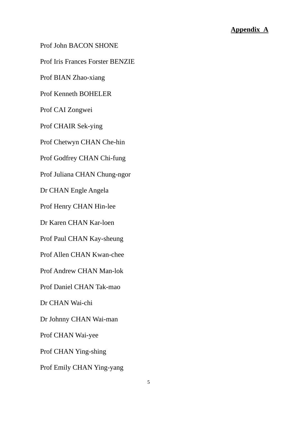Prof John BACON SHONE

Prof Iris Frances Forster BENZIE

Prof BIAN Zhao-xiang

Prof Kenneth BOHELER

Prof CAI Zongwei

Prof CHAIR Sek-ying

Prof Chetwyn CHAN Che-hin

Prof Godfrey CHAN Chi-fung

Prof Juliana CHAN Chung-ngor

Dr CHAN Engle Angela

Prof Henry CHAN Hin-lee

Dr Karen CHAN Kar-loen

Prof Paul CHAN Kay-sheung

Prof Allen CHAN Kwan-chee

Prof Andrew CHAN Man-lok

Prof Daniel CHAN Tak-mao

Dr CHAN Wai-chi

Dr Johnny CHAN Wai-man

Prof CHAN Wai-yee

Prof CHAN Ying-shing

Prof Emily CHAN Ying-yang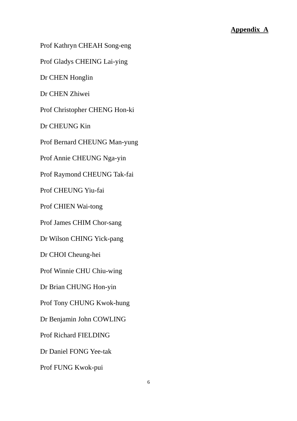Prof Kathryn CHEAH Song-eng

Prof Gladys CHEING Lai-ying

Dr CHEN Honglin

Dr CHEN Zhiwei

Prof Christopher CHENG Hon-ki

Dr CHEUNG Kin

Prof Bernard CHEUNG Man-yung

Prof Annie CHEUNG Nga-yin

Prof Raymond CHEUNG Tak-fai

Prof CHEUNG Yiu-fai

Prof CHIEN Wai-tong

Prof James CHIM Chor-sang

Dr Wilson CHING Yick-pang

Dr CHOI Cheung-hei

Prof Winnie CHU Chiu-wing

Dr Brian CHUNG Hon-yin

Prof Tony CHUNG Kwok-hung

Dr Benjamin John COWLING

Prof Richard FIELDING

Dr Daniel FONG Yee-tak

Prof FUNG Kwok-pui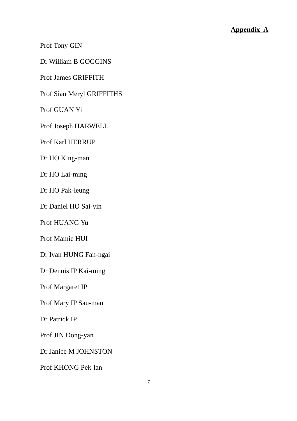Prof Tony GIN

Dr William B GOGGINS

Prof James GRIFFITH

Prof Sian Meryl GRIFFITHS

Prof GUAN Yi

Prof Joseph HARWELL

Prof Karl HERRUP

Dr HO King-man

Dr HO Lai-ming

Dr HO Pak-leung

Dr Daniel HO Sai-yin

Prof HUANG Yu

Prof Mamie HUI

Dr Ivan HUNG Fan-ngai

Dr Dennis IP Kai-ming

Prof Margaret IP

Prof Mary IP Sau-man

Dr Patrick IP

Prof JIN Dong-yan

Dr Janice M JOHNSTON

Prof KHONG Pek-lan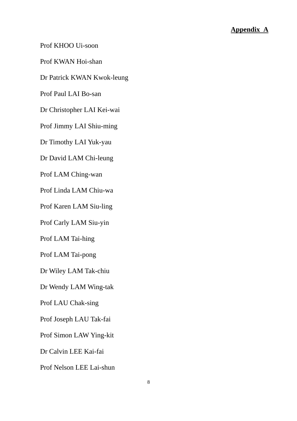Prof KHOO Ui-soon

Prof KWAN Hoi-shan

Dr Patrick KWAN Kwok-leung

Prof Paul LAI Bo-san

Dr Christopher LAI Kei-wai

Prof Jimmy LAI Shiu-ming

Dr Timothy LAI Yuk-yau

Dr David LAM Chi-leung

Prof LAM Ching-wan

Prof Linda LAM Chiu-wa

Prof Karen LAM Siu-ling

Prof Carly LAM Siu-yin

Prof LAM Tai-hing

Prof LAM Tai-pong

Dr Wiley LAM Tak-chiu

Dr Wendy LAM Wing-tak

Prof LAU Chak-sing

Prof Joseph LAU Tak-fai

Prof Simon LAW Ying-kit

Dr Calvin LEE Kai-fai

Prof Nelson LEE Lai-shun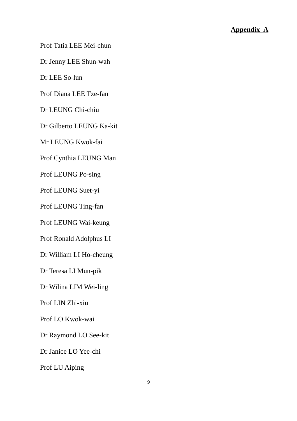Prof Tatia LEE Mei-chun

Dr Jenny LEE Shun-wah

Dr LEE So-lun

Prof Diana LEE Tze-fan

Dr LEUNG Chi-chiu

Dr Gilberto LEUNG Ka-kit

Mr LEUNG Kwok-fai

Prof Cynthia LEUNG Man

Prof LEUNG Po-sing

Prof LEUNG Suet-yi

Prof LEUNG Ting-fan

Prof LEUNG Wai-keung

Prof Ronald Adolphus LI

Dr William LI Ho-cheung

Dr Teresa LI Mun-pik

Dr Wilina LIM Wei-ling

Prof LIN Zhi-xiu

Prof LO Kwok-wai

Dr Raymond LO See-kit

Dr Janice LO Yee-chi

Prof LU Aiping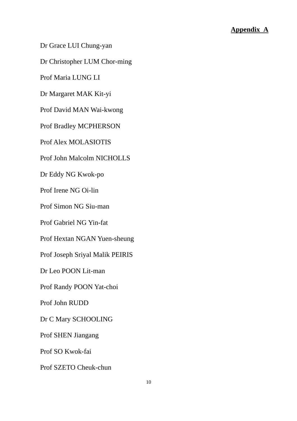Dr Grace LUI Chung-yan

Dr Christopher LUM Chor-ming

Prof Maria LUNG LI

Dr Margaret MAK Kit-yi

Prof David MAN Wai-kwong

Prof Bradley MCPHERSON

Prof Alex MOLASIOTIS

Prof John Malcolm NICHOLLS

Dr Eddy NG Kwok-po

Prof Irene NG Oi-lin

Prof Simon NG Siu-man

Prof Gabriel NG Yin-fat

Prof Hextan NGAN Yuen-sheung

Prof Joseph Sriyal Malik PEIRIS

Dr Leo POON Lit-man

Prof Randy POON Yat-choi

Prof John RUDD

Dr C Mary SCHOOLING

Prof SHEN Jiangang

Prof SO Kwok-fai

Prof SZETO Cheuk-chun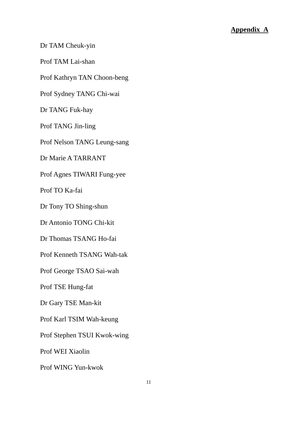Dr TAM Cheuk-yin

Prof TAM Lai-shan

Prof Kathryn TAN Choon-beng

Prof Sydney TANG Chi-wai

Dr TANG Fuk-hay

Prof TANG Jin-ling

Prof Nelson TANG Leung-sang

Dr Marie A TARRANT

Prof Agnes TIWARI Fung-yee

Prof TO Ka-fai

Dr Tony TO Shing-shun

Dr Antonio TONG Chi-kit

Dr Thomas TSANG Ho-fai

 Prof Kenneth TSANG Wah-tak

Prof George TSAO Sai-wah

Prof TSE Hung-fat

Dr Gary TSE Man-kit

Prof Karl TSIM Wah-keung

Prof Stephen TSUI Kwok-wing

Prof WEI Xiaolin

Prof WING Yun-kwok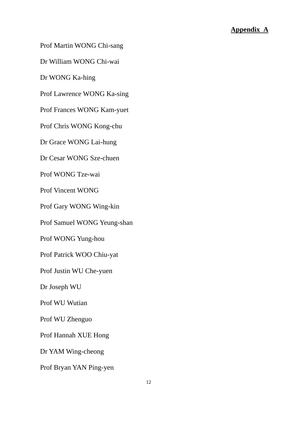Prof Martin WONG Chi-sang

Dr William WONG Chi-wai

Dr WONG Ka-hing

Prof Lawrence WONG Ka-sing

Prof Frances WONG Kam-yuet

Prof Chris WONG Kong-chu

Dr Grace WONG Lai-hung

Dr Cesar WONG Sze-chuen

Prof WONG Tze-wai

Prof Vincent WONG

Prof Gary WONG Wing-kin

Prof Samuel WONG Yeung-shan Prof WONG Yung-hou

Prof Patrick WOO Chiu-yat

Prof Justin WU Che-yuen

Dr Joseph WU

Prof WU Wutian

Prof WU Zhenguo

Prof Hannah XUE Hong

Dr YAM Wing-cheong

Prof Bryan YAN Ping-yen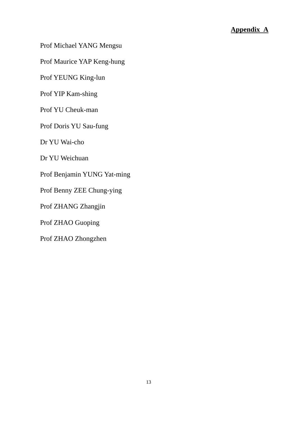Prof Michael YANG Mengsu

Prof Maurice YAP Keng-hung

Prof YEUNG King-lun

Prof YIP Kam-shing

Prof YU Cheuk-man

Prof Doris YU Sau-fung

Dr YU Wai-cho

Dr YU Weichuan

Prof Benjamin YUNG Yat-ming

Prof Benny ZEE Chung-ying

Prof ZHANG Zhangjin

Prof ZHAO Guoping

Prof ZHAO Zhongzhen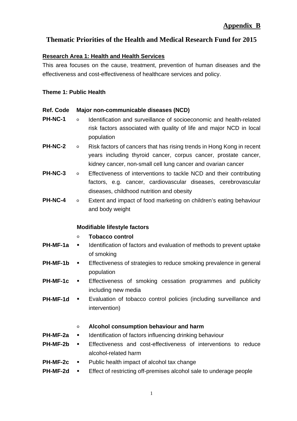# **Thematic Priorities of the Health and Medical Research Fund for 2015**

## **Research Area 1: Health and Health Services**

This area focuses on the cause, treatment, prevention of human diseases and the effectiveness and cost-effectiveness of healthcare services and policy.

## **Theme 1: Public Health**

## **Ref. Code Major non-communicable diseases (NCD)**

- **PH-NC-1** Identification and surveillance of socioeconomic and health-related risk factors associated with quality of life and major NCD in local population
- **PH-NC-2** <sup>o</sup> Risk factors of cancers that has rising trends in Hong Kong in recent years including thyroid cancer, corpus cancer, prostate cancer, kidney cancer, non-small cell lung cancer and ovarian cancer
- **PH-NC-3 •** Effectiveness of interventions to tackle NCD and their contributing factors, e.g. cancer, cardiovascular diseases, cerebrovascular diseases, childhood nutrition and obesity
- **PH-NC-4** <sup>o</sup> Extent and impact of food marketing on children's eating behaviour and body weight

## **Modifiable lifestyle factors**

## ○ **Tobacco control**

- **PH-MF-1a •** Identification of factors and evaluation of methods to prevent uptake of smoking
- **PH-MF-1b •** Effectiveness of strategies to reduce smoking prevalence in general population
- **PH-MF-1c •** Effectiveness of smoking cessation programmes and publicity including new media
- **PH-MF-1d •** Evaluation of tobacco control policies (including surveillance and intervention)

## ○ **Alcohol consumption behaviour and harm**

- **PH-MF-2a •** Identification of factors influencing drinking behaviour
- **PH-MF-2b**  Effectiveness and cost-effectiveness of interventions to reduce alcohol-related harm
- **PH-MF-2c •** Public health impact of alcohol tax change
- **PH-MF-2d •** Effect of restricting off-premises alcohol sale to underage people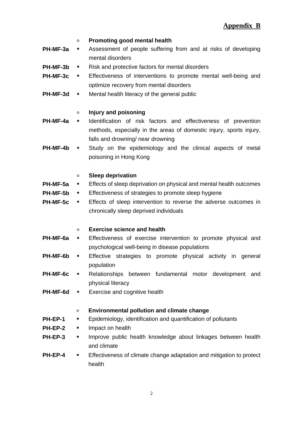#### ○ **Promoting good mental health**

- **PH-MF-3a** Assessment of people suffering from and at risks of developing mental disorders
- **PH-MF-3b •** Risk and protective factors for mental disorders
- **PH-MF-3c •** Effectiveness of interventions to promote mental well-being and optimize recovery from mental disorders
- **PH-MF-3d •** Mental health literacy of the general public

### ○ **Injury and poisoning**

- **PH-MF-4a •** Identification of risk factors and effectiveness of prevention methods, especially in the areas of domestic injury, sports injury, falls and drowning/ near drowning
- **PH-MF-4b •** Study on the epidemiology and the clinical aspects of metal poisoning in Hong Kong

#### ○ **Sleep deprivation**

- **PH-MF-5a •** Effects of sleep deprivation on physical and mental health outcomes
- **PH-MF-5b •** Effectiveness of strategies to promote sleep hygiene
- **PH-MF-5c** Effects of sleep intervention to reverse the adverse outcomes in chronically sleep deprived individuals

#### ○ **Exercise science and health**

- **PH-MF-6a •** Effectiveness of exercise intervention to promote physical and psychological well-being in disease populations
- **PH-MF-6b •** Effective strategies to promote physical activity in general population
- **PH-MF-6c •** Relationships between fundamental motor development and physical literacy
- **PH-MF-6d Exercise and cognitive health**

### ○ **Environmental pollution and climate change**

- **PH-EP-1 Epidemiology, identification and quantification of pollutants**
- **PH-EP-2**  Impact on health
- **PH-EP-3** Improve public health knowledge about linkages between health and climate
- **PH-EP-4 E** Effectiveness of climate change adaptation and mitigation to protect health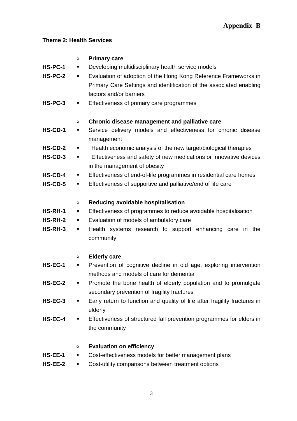# **Theme 2: Health Services**

| HS-PC-1<br><b>HS-PC-2</b><br>HS-PC-3 | o<br>٠<br>٠<br>٠ | <b>Primary care</b><br>Developing multidisciplinary health service models<br>Evaluation of adoption of the Hong Kong Reference Frameworks in<br>Primary Care Settings and identification of the associated enabling<br>factors and/or barriers<br>Effectiveness of primary care programmes |
|--------------------------------------|------------------|--------------------------------------------------------------------------------------------------------------------------------------------------------------------------------------------------------------------------------------------------------------------------------------------|
|                                      | o                | Chronic disease management and palliative care                                                                                                                                                                                                                                             |
| HS-CD-1                              | ٠                | Service delivery models and effectiveness for chronic disease<br>management                                                                                                                                                                                                                |
| <b>HS-CD-2</b>                       | $\blacksquare$   | Health economic analysis of the new target/biological therapies                                                                                                                                                                                                                            |
| <b>HS-CD-3</b>                       | ٠                | Effectiveness and safety of new medications or innovative devices<br>in the management of obesity                                                                                                                                                                                          |
| $HS$ -CD-4                           | ٠                | Effectiveness of end-of-life programmes in residential care homes                                                                                                                                                                                                                          |
| $HS$ -CD-5                           | ٠                | Effectiveness of supportive and palliative/end of life care                                                                                                                                                                                                                                |
|                                      | o                | Reducing avoidable hospitalisation                                                                                                                                                                                                                                                         |
| <b>HS-RH-1</b>                       | ٠                | Effectiveness of programmes to reduce avoidable hospitalisation                                                                                                                                                                                                                            |
| <b>HS-RH-2</b>                       | ٠                | Evaluation of models of ambulatory care                                                                                                                                                                                                                                                    |
| HS-RH-3                              | ٠                | Health systems research to support enhancing care in the<br>community                                                                                                                                                                                                                      |
|                                      | $\circ$          | <b>Elderly care</b>                                                                                                                                                                                                                                                                        |
| HS-EC-1                              | ٠                | Prevention of cognitive decline in old age, exploring intervention<br>methods and models of care for dementia                                                                                                                                                                              |
| HS-EC-2                              | ٠                | Promote the bone health of elderly population and to promulgate<br>secondary prevention of fragility fractures                                                                                                                                                                             |
| HS-EC-3                              | ٠                | Early return to function and quality of life after fragility fractures in<br>elderly                                                                                                                                                                                                       |
| HS-EC-4                              | ٠                | Effectiveness of structured fall prevention programmes for elders in<br>the community                                                                                                                                                                                                      |
|                                      | o                | <b>Evaluation on efficiency</b>                                                                                                                                                                                                                                                            |
| HS-EE-1                              | ٠                | Cost-effectiveness models for better management plans                                                                                                                                                                                                                                      |
| HS-EE-2                              | ٠                | Cost-utility comparisons between treatment options                                                                                                                                                                                                                                         |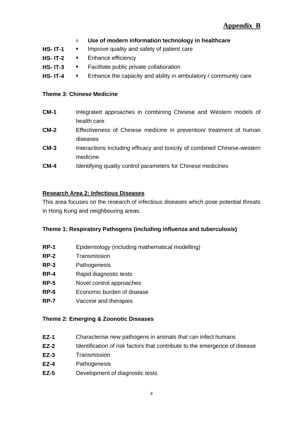- **Use of modern information technology in healthcare**
- **HS- IT-1**  Improve quality and safety of patient care
- HS- IT-2 **·** Enhance efficiency
- **HS- IT-3**  Facilitate public private collaboration
- **HS- IT-4** Enhance the capacity and ability in ambulatory / community care

#### **Theme 3: Chinese Medicine**

- **CM-1** Integrated approaches in combining Chinese and Western models of health care
- **CM-2** Effectiveness of Chinese medicine in prevention/ treatment of human diseases
- **CM-3** Interactions including efficacy and toxicity of combined Chinese-western medicine
- **CM-4** Identifying quality control parameters for Chinese medicines

### **Research Area 2: Infectious Diseases**

This area focuses on the research of infectious diseases which pose potential threats in Hong Kong and neighbouring areas.

### **Theme 1: Respiratory Pathogens (including influenza and tuberculosis)**

- **RP-1** Epidemiology (including mathematical modelling)
- **RP-2** Transmission
- **RP-3** Pathogenesis
- **RP-4** Rapid diagnostic tests
- **RP-5** Novel control approaches
- **RP-6** Economic burden of disease
- **RP-7** Vaccine and therapies

### **Theme 2: Emerging & Zoonotic Diseases**

- **EZ-1** Characterise new pathogens in animals that can infect humans
- **EZ-2** Identification of risk factors that contribute to the emergence of disease
- **EZ-3** Transmission
- **EZ-4** Pathogenesis
- **EZ-5** Development of diagnostic tests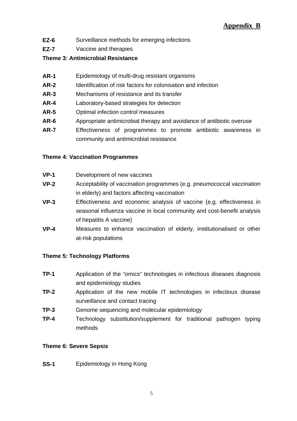- **EZ-6** Surveillance methods for emerging infections
- **EZ-7** Vaccine and therapies

## **Theme 3: Antimicrobial Resistance**

- **AR-1** Epidemiology of multi-drug resistant organisms
- **AR-2** Identification of risk factors for colonisation and infection
- **AR-3** Mechanisms of resistance and its transfer
- **AR-4** Laboratory-based strategies for detection
- **AR-5** Optimal infection control measures
- **AR-6** Appropriate antimicrobial therapy and avoidance of antibiotic overuse
- **AR-7** Effectiveness of programmes to promote antibiotic awareness in community and antimicrobial resistance

## **Theme 4: Vaccination Programmes**

- **VP-1** Development of new vaccines
- **VP-2** Acceptability of vaccination programmes (e.g. pneumococcal vaccination in elderly) and factors affecting vaccination
- **VP-3** Effectiveness and economic analysis of vaccine (e.g. effectiveness in seasonal influenza vaccine in local community and cost-benefit analysis of hepatitis A vaccine)
- **VP-4** Measures to enhance vaccination of elderly, institutionalised or other at-risk populations

## **Theme 5: Technology Platforms**

- **TP-1** Application of the "omics" technologies in infectious diseases diagnosis and epidemiology studies
- **TP-2** Application of the new mobile IT technologies in infectious disease surveillance and contact tracing
- **TP-3** Genome sequencing and molecular epidemiology
- **TP-4** Technology substitution/supplement for traditional pathogen typing methods

## **Theme 6: Severe Sepsis**

**SS-1 Epidemiology in Hong Kong**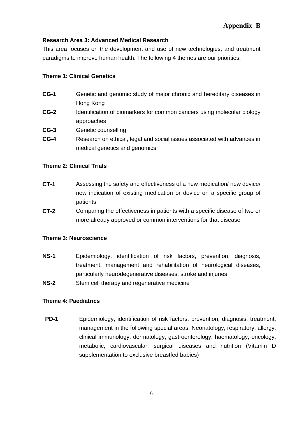# **Appendix B**

## **Research Area 3: Advanced Medical Research**

This area focuses on the development and use of new technologies, and treatment paradigms to improve human health. The following 4 themes are our priorities:

## **Theme 1: Clinical Genetics**

- **CG-1** Genetic and genomic study of major chronic and hereditary diseases in Hong Kong
- **CG-2** Identification of biomarkers for common cancers using molecular biology approaches
- **CG-3** Genetic counselling
- **CG-4** Research on ethical, legal and social issues associated with advances in medical genetics and genomics

### **Theme 2: Clinical Trials**

- **CT-1** Assessing the safety and effectiveness of a new medication/ new device/ new indication of existing medication or device on a specific group of patients
- **CT-2** Comparing the effectiveness in patients with a specific disease of two or more already approved or common interventions for that disease

### **Theme 3: Neuroscience**

- **NS-1** Epidemiology, identification of risk factors, prevention, diagnosis, treatment, management and rehabilitation of neurological diseases, particularly neurodegenerative diseases, stroke and injuries
- **NS-2** Stem cell therapy and regenerative medicine

## **Theme 4: Paediatrics**

**PD-1** Epidemiology, identification of risk factors, prevention, diagnosis, treatment, management in the following special areas: Neonatology, respiratory, allergy, clinical immunology, dermatology, gastroenterology, haematology, oncology, metabolic, cardiovascular, surgical diseases and nutrition (Vitamin D supplementation to exclusive breastfed babies)